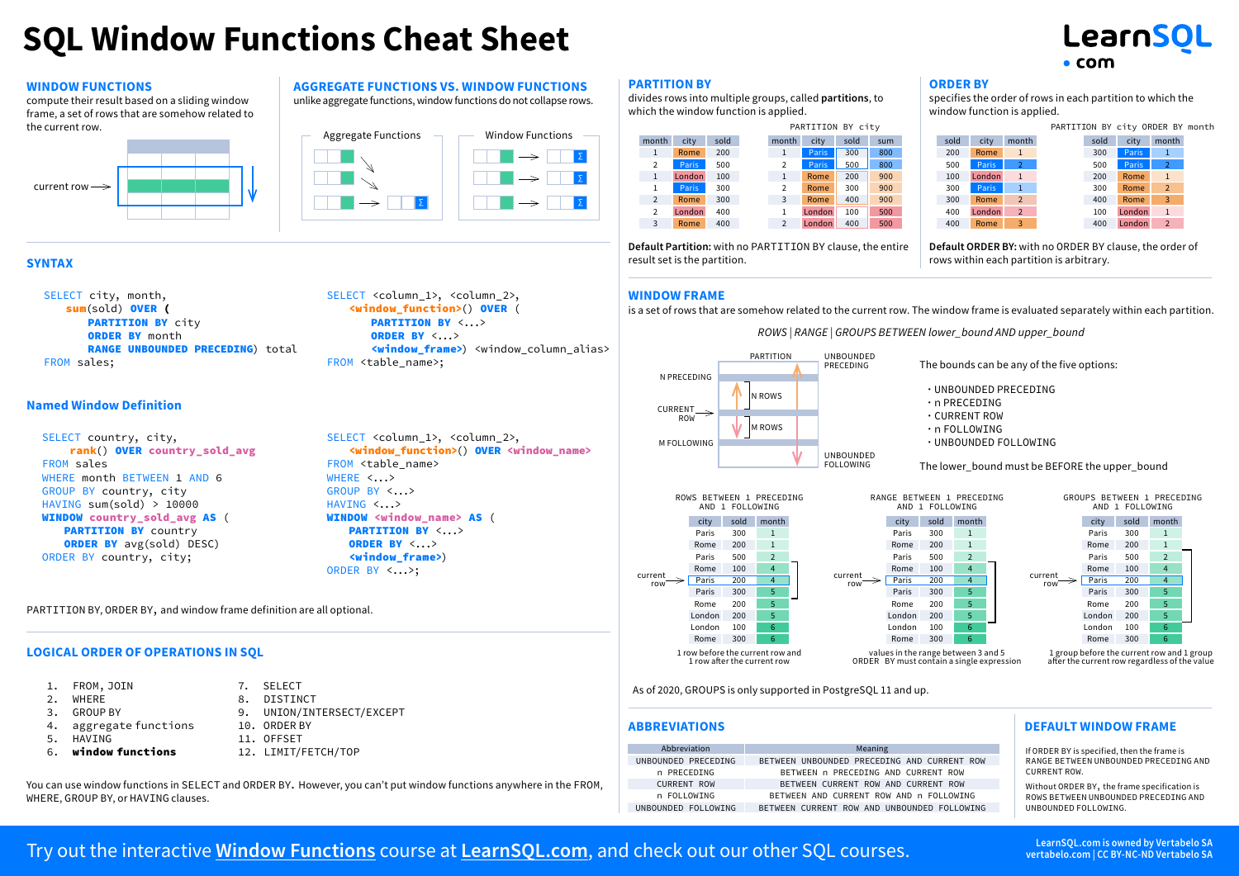## **SQL Window Functions Cheat Sheet**

## LearnSOL  $\bullet$  com

### **Window Functions**

compute their result based on a sliding window frame, a set of rows that are somehow related to the current row.





FROM <table name>:

**Aggregate Functions vs. Window Functions** unlike aggregate functions, window functions do not collapse rows.

> SELECT <column\_1>, <column\_2>, <window\_function>() OVER ( PARTITION BY <...> ORDER BY <...>

### **Syntax**

SELECT city, month, sum(sold) OVER ( PARTITION BY city **ORDER BY month** RANGE UNBOUNDED PRECEDING) total FROM sales;

### **Named Window Definition**

SELECT country, city, rank() OVER country sold avg FROM sales WHERE month BETWEEN 1 AND 6 GROUP BY country, city HAVING sum(sold) > 10000 WINDOW country sold avg AS ( PARTITION BY country ORDER BY avg(sold) DESC) ORDER BY country, city;

SELECT <column 1>, <column 2>, <window\_function>() OVER <window\_name> FROM <table name> WHERE  $\langle \ldots \rangle$ GROUP BY <...> HAVING <...> WINDOW <window name> AS ( PARTITION BY <...> ORDER BY <...> <window\_frame>) ORDER BY <...>;

<window\_frame>) <window\_column\_alias>

### PARTITION BY, ORDER BY, and window frame definition are all optional.

### **Logical Order of Operations in SQL**

| 1. FROM, JOIN          | 7. SELECT                 |
|------------------------|---------------------------|
| 2. WHERE               | 8. DISTINCT               |
| 3. GROUP BY            | 9. UNION/INTERSECT/EXCEPT |
| 4. aggregate functions | 10. ORDER BY              |
| 5. HAVING              | 11. OFFSET                |
|                        |                           |

- 6. window functions
- 12. LIMIT/FETCH/TOP
- 

You can use window functions in SELECT and ORDER BY. However, you can't put window functions anywhere in the FROM, WHERE, GROUP BY, or HAVING clauses.

### **PARTITION BY**

∑ ∑ divides rows into multiple groups, called **partitions**, to which the window function is applied.



**Default Partition:** with no PARTITION BY clause, the entire result set is the partition.

### **ORDER BY**

specifies the order of rows in each partition to which the window function is applied.

|     | PARTITION BY city |      |     |  |      |        |                |      | PARTITION BY city ORDER BY month |                |  |
|-----|-------------------|------|-----|--|------|--------|----------------|------|----------------------------------|----------------|--|
| ıth | city              | sold | sum |  | sold | city   | month          | sold | city                             | month          |  |
|     | Paris             | 300  | 800 |  | 200  | Rome   | $\mathbf{1}$   | 300  | Paris                            | -1             |  |
|     | <b>Paris</b>      | 500  | 800 |  | 500  | Paris  | $\overline{2}$ | 500  | Paris                            | $\overline{2}$ |  |
|     | Rome              | 200  | 900 |  | 100  | London | $\sqrt{1}$     | 200  | Rome                             | 1              |  |
|     | Rome              | 300  | 900 |  | 300  | Paris  | $\overline{1}$ | 300  | Rome                             | $\overline{2}$ |  |
|     | Rome              | 400  | 900 |  | 300  | Rome   | 2              | 400  | Rome                             | 3              |  |
|     | London            | 100  | 500 |  | 400  | London | 2              | 100  | London                           | $\mathbf{1}$   |  |
|     | London            | 400  | 500 |  | 400  | Rome   | 3              | 400  | London                           | $\overline{2}$ |  |

**Default ORDER BY:** with no ORDER BY clause, the order of rows within each partition is arbitrary.

### **Window Frame**

is a set of rows that are somehow related to the current row. The window frame is evaluated separately within each partition. *ROWS | RANGE | GROUPS BETWEEN lower\_bound AND upper\_bound*



city sold month Paris 300 1 Rome 200 1 Paris 500 2 Rome 100 4 Paris 200 4 Paris 300 5 Rome 200 5 London 200 5 London 100 6  $Rome$  300 ROWS BETWEEN 1 PRECEDING AND 1 FOLLOWING 1 row before the current row and 1 row after the current row current row

The bounds can be any of the five options:

 ∙  UNBOUNDED PRECEDING ∙  n PRECEDING ∙  CURRENT ROW

∙  n FOLLOWING

### ∙  UNBOUNDED FOLLOWING

The lower\_bound must be BEFORE the upper\_bound

RANGE BETWEEN 1 PRECEDING GROUPS BETWEEN 1 PRECEDING

city sold month Paris 300 1 Rome 200 1 Paris 500 2 Rome 100 4 Paris 200 4 Paris 300 5 Rome 200 5 London 200 5 London 100 6  $Rome$  300

AND 1 FOLLOWING

values in the range between 3 and 5 ORDER BY must contain a single expression



after the current row regardless of the value

As of 2020, GROUPS is only supported in PostgreSQL 11 and up.

| Abbreviation        | Meaning                                     |
|---------------------|---------------------------------------------|
| UNBOUNDED PRECEDING | BETWEEN UNBOUNDED PRECEDING AND CURRENT ROW |
| n PRECEDING         | BETWEEN n PRECEDING AND CURRENT ROW         |
| <b>CURRENT ROW</b>  | BETWEEN CURRENT ROW AND CURRENT ROW         |
| n FOLLOWING         | BETWEEN AND CURRENT ROW AND n FOLLOWING     |
| UNBOUNDED FOLLOWING | BETWEEN CURRENT ROW AND UNBOUNDED FOLLOWING |

current row

### **Abbreviations Default Window Frame**

If ORDER BY is specified, then the frame is RANGE BETWEEN UNBOUNDED PRECEDING AND CURRENT ROW.

Without ORDER BY, the frame specification is ROWS BETWEEN UNBOUNDED PRECEDING AND UNBOUNDED FOLLOWING.

### Try out the interactive **[Window Functions](https://learnsql.com/course/window-functions)** course at **[LearnSQL.com](https://learnsql.com/)**, and check out our other SQL courses.<br>
Try out the interactive Window Functions course at LearnSQL.com, and check out our other SQL courses.

**vertabelo.com | CC BY-NC-ND Vertabelo SA**